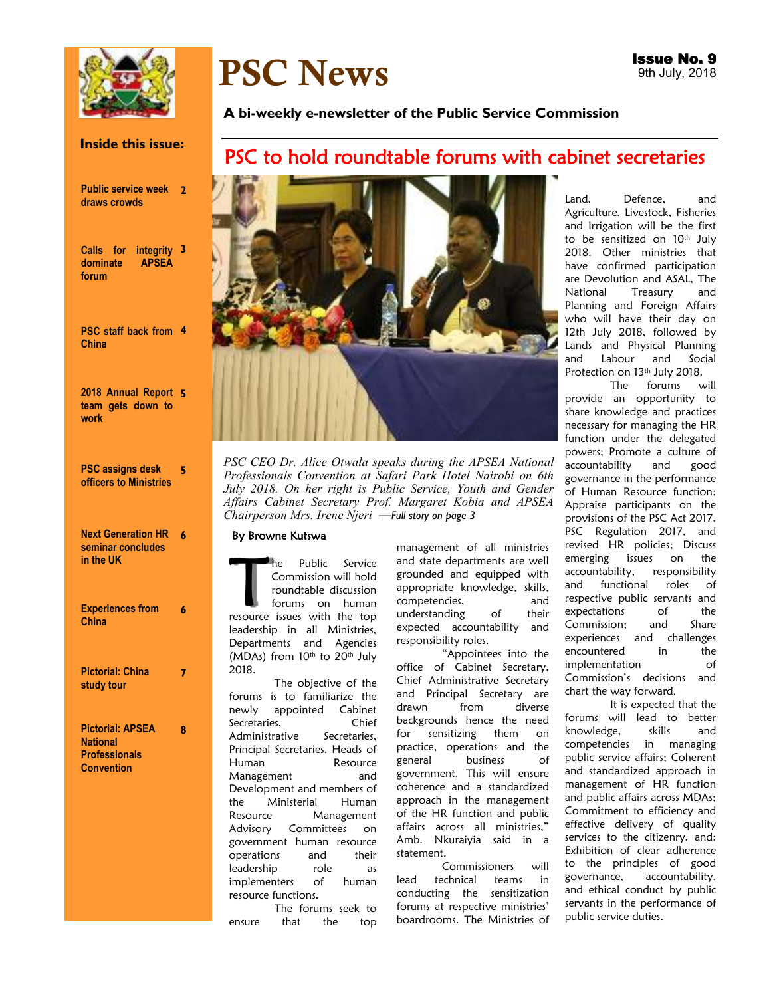

# PSC News

#### **Inside this issue:**

| <b>Public service week</b> | $\mathbf{2}$ |
|----------------------------|--------------|
| draws crowds               |              |

**Calls for integrity 3 dominate APSEA forum** 

|              |  | <b>PSC staff back from 4</b> |  |
|--------------|--|------------------------------|--|
| <b>China</b> |  |                              |  |

**2018 Annual Report 5 team gets down to work** 

**PSC assigns desk officers to Ministries 5** 

| <b>Next Generation HR</b> | 6 |
|---------------------------|---|
| seminar concludes         |   |
| in the UK                 |   |
|                           |   |
|                           |   |

| <b>Experiences from</b><br><b>China</b>                            |   |
|--------------------------------------------------------------------|---|
| <b>Pictorial: China</b><br>study tour                              |   |
| <b>Pictorial: APSEA</b><br><b>National</b><br><b>Professionals</b> | 8 |

**Convention** 

#### **A bi-weekly e-newsletter of the Public Service Commission**

# PSC to hold roundtable forums with cabinet secretaries



*PSC CEO Dr. Alice Otwala speaks during the APSEA National Professionals Convention at Safari Park Hotel Nairobi on 6th*  July 2018. On her right is Public Service, Youth and Gender *Affairs Cabinet Secretary Prof. Margaret Kobia and APSEA Chairperson Mrs. Irene Njeri —Full story on page 3* 

#### By Browne Kutswa

The Public Service<br>
Commission will hold<br>
roundtable discussion<br>
forums on human<br>
resource issues with the top Commission will hold roundtable discussion forums on human leadership in all Ministries, Departments and Agencies (MDAs) from 10th to 20th July 2018.

The objective of the forums is to familiarize the newly appointed Cabinet<br>Secretaries, Chief Secretaries,<br>Administrative Secretaries, Administrative Principal Secretaries, Heads of Human Resource Management and Development and members of the Ministerial Human Resource Management Advisory Committees on government human resource operations and their leadership role as implementers of human resource functions.

The forums seek to ensure that the top management of all ministries and state departments are well grounded and equipped with appropriate knowledge, skills, competencies, and understanding of their expected accountability and responsibility roles.

"Appointees into the office of Cabinet Secretary, Chief Administrative Secretary and Principal Secretary are drawn from diverse backgrounds hence the need for sensitizing them on practice, operations and the general business of government. This will ensure coherence and a standardized approach in the management of the HR function and public affairs across all ministries," Amb. Nkuraiyia said in a statement.

Commissioners will lead technical teams in conducting the sensitization forums at respective ministries' boardrooms. The Ministries of Land, Defence, and Agriculture, Livestock, Fisheries and Irrigation will be the first to be sensitized on 10<sup>th</sup> July 2018. Other ministries that have confirmed participation are Devolution and ASAL, The National Treasury and Planning and Foreign Affairs who will have their day on 12th July 2018, followed by Lands and Physical Planning and Labour and Social Protection on 13<sup>th</sup> July 2018.

The forums will provide an opportunity to share knowledge and practices necessary for managing the HR function under the delegated powers; Promote a culture of accountability and good governance in the performance of Human Resource function; Appraise participants on the provisions of the PSC Act 2017, PSC Regulation 2017, and revised HR policies; Discuss emerging issues on the accountability, responsibility and functional roles of respective public servants and expectations of the Commission; and Share experiences and challenges encountered in the implementation of Commission's decisions and chart the way forward.

It is expected that the forums will lead to better knowledge, skills and competencies in managing public service affairs; Coherent and standardized approach in management of HR function and public affairs across MDAs; Commitment to efficiency and effective delivery of quality services to the citizenry, and; Exhibition of clear adherence to the principles of good governance, accountability, and ethical conduct by public servants in the performance of public service duties.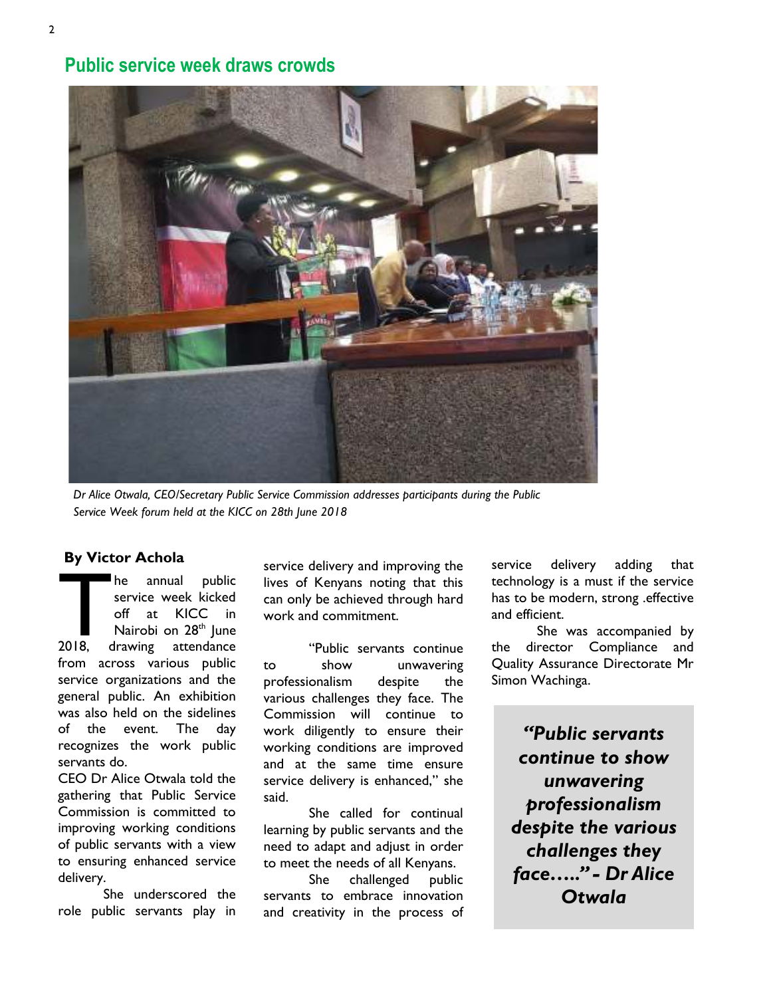# **Public service week draws crowds**



*Dr Alice Otwala, CEO/Secretary Public Service Commission addresses participants during the Public Service Week forum held at the KICC on 28th June 2018* 

## **By Victor Achola**

The annual public<br>service week kicked<br>off at KICC in<br>Nairobi on 28<sup>th</sup> June<br>2018, drawing attendance service week kicked off at KICC in Nairobi on 28<sup>th</sup> June 2018, drawing attendance from across various public service organizations and the general public. An exhibition was also held on the sidelines of the event. The day recognizes the work public servants do.

CEO Dr Alice Otwala told the gathering that Public Service Commission is committed to improving working conditions of public servants with a view to ensuring enhanced service delivery.

She underscored the role public servants play in

service delivery and improving the lives of Kenyans noting that this can only be achieved through hard work and commitment.

"Public servants continue to show unwavering professionalism despite the various challenges they face. The Commission will continue to work diligently to ensure their working conditions are improved and at the same time ensure service delivery is enhanced," she said.

She called for continual learning by public servants and the need to adapt and adjust in order to meet the needs of all Kenyans.

She challenged public servants to embrace innovation and creativity in the process of service delivery adding that technology is a must if the service has to be modern, strong .effective and efficient.

She was accompanied by the director Compliance and Quality Assurance Directorate Mr Simon Wachinga.

*"Public servants continue to show unwavering professionalism despite the various challenges they face….." - Dr Alice Otwala*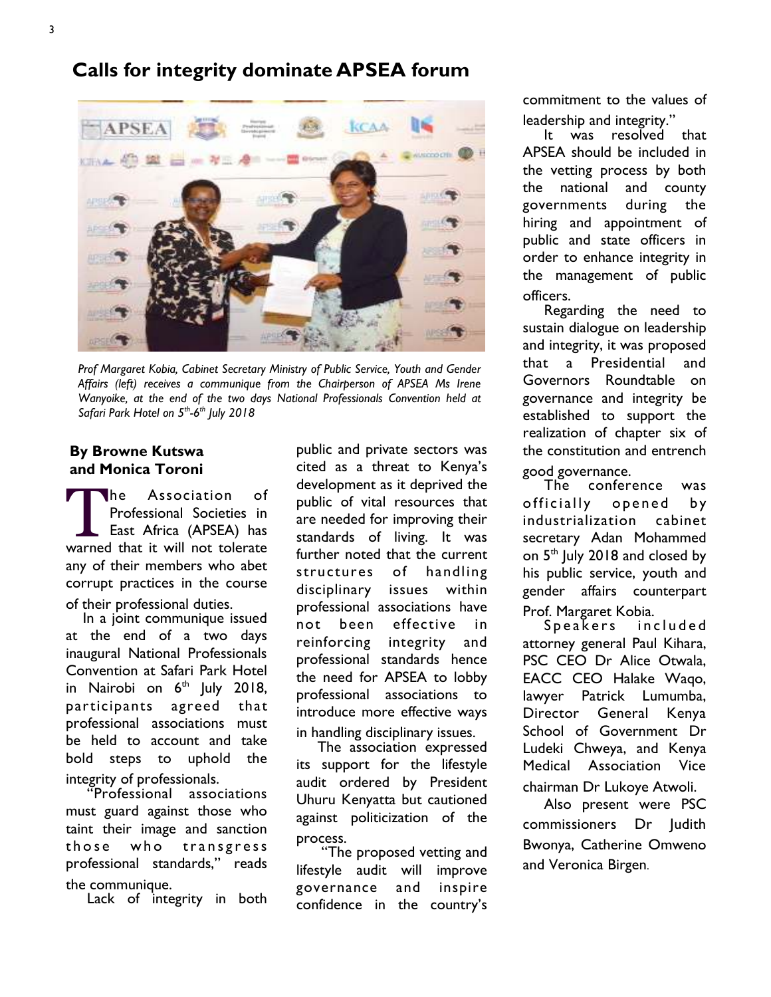# **Calls for integrity dominate APSEA forum**



*Prof Margaret Kobia, Cabinet Secretary Ministry of Public Service, Youth and Gender Affairs (left) receives a communique from the Chairperson of APSEA Ms Irene Wanyoike, at the end of the two days National Professionals Convention held at Safari Park Hotel on 5th-6th July 2018*

# **By Browne Kutswa and Monica Toroni**

The Association of<br>Professional Societies in<br>East Africa (APSEA) has<br>warned that it will not tolerate he Association of Professional Societies in East Africa (APSEA) has any of their members who abet corrupt practices in the course of their professional duties.

 In a joint communique issued at the end of a two days inaugural National Professionals Convention at Safari Park Hotel in Nairobi on  $6<sup>th</sup>$  July 2018, participants agreed that professional associations must be held to account and take bold steps to uphold the integrity of professionals.

 "Professional associations must guard against those who taint their image and sanction those who transgress professional standards," reads the communique.

Lack of integrity in both

public and private sectors was cited as a threat to Kenya's development as it deprived the public of vital resources that are needed for improving their standards of living. It was further noted that the current structures of handling disciplinary issues within professional associations have not been effective in reinforcing integrity and professional standards hence the need for APSEA to lobby professional associations to introduce more effective ways in handling disciplinary issues.

 The association expressed its support for the lifestyle audit ordered by President Uhuru Kenyatta but cautioned against politicization of the process.

 "The proposed vetting and lifestyle audit will improve governance and inspire confidence in the country's

commitment to the values of leadership and integrity.'

 It was resolved that APSEA should be included in the vetting process by both the national and county governments during the hiring and appointment of public and state officers in order to enhance integrity in the management of public officers.

 Regarding the need to sustain dialogue on leadership and integrity, it was proposed that a Presidential and Governors Roundtable on governance and integrity be established to support the realization of chapter six of the constitution and entrench good governance.

 The conference was officially opened by industrialization cabinet secretary Adan Mohammed on 5<sup>th</sup> July 2018 and closed by his public service, youth and gender affairs counterpart Prof. Margaret Kobia.

Speakers included attorney general Paul Kihara, PSC CEO Dr Alice Otwala, EACC CEO Halake Waqo, lawyer Patrick Lumumba, Director General Kenya School of Government Dr Ludeki Chweya, and Kenya Medical Association Vice

chairman Dr Lukoye Atwoli. Also present were PSC commissioners Dr Judith Bwonya, Catherine Omweno and Veronica Birgen.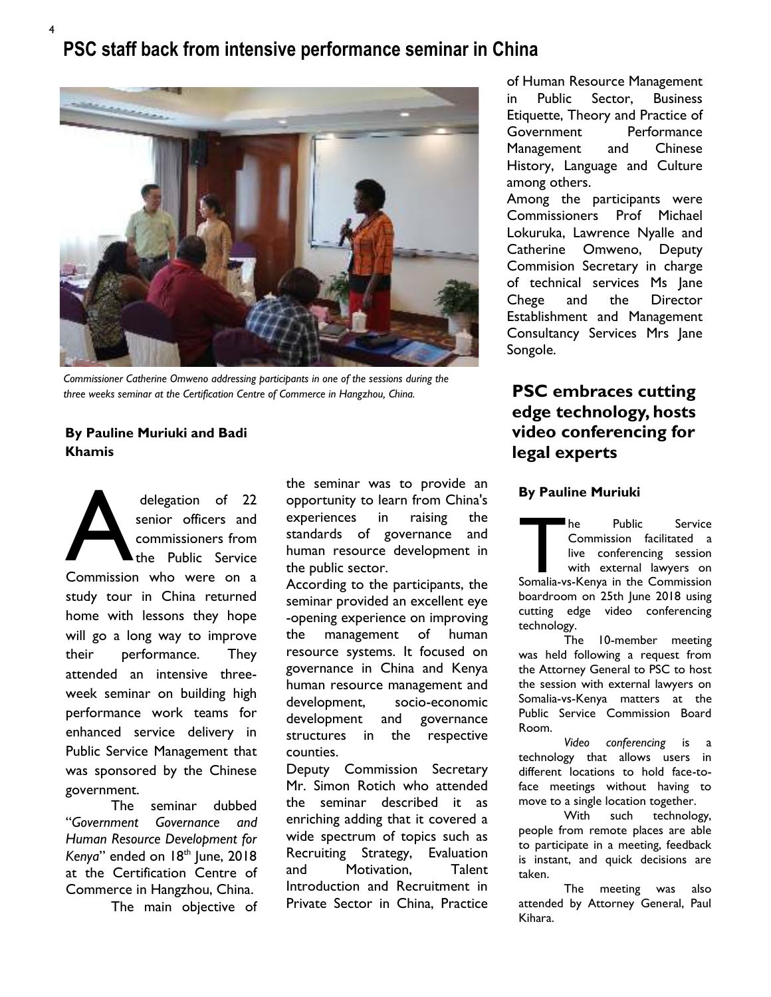# **PSC staff back from intensive performance seminar in China**



*Commissioner Catherine Omweno addressing participants in one of the sessions during the three weeks seminar at the Certification Centre of Commerce in Hangzhou, China.* 

# **By Pauline Muriuki and Badi Khamis**

4

delegation of 22<br>
senior officers and<br>
commissioners from<br>
the Public Service<br>
Commission who were on a senior officers and commissioners from the Public Service study tour in China returned home with lessons they hope will go a long way to improve their performance. They attended an intensive threeweek seminar on building high performance work teams for enhanced service delivery in Public Service Management that was sponsored by the Chinese government.

 The seminar dubbed "*Government Governance and Human Resource Development for*  Kenya" ended on 18<sup>th</sup> June, 2018 at the Certification Centre of Commerce in Hangzhou, China.

The main objective of

the seminar was to provide an opportunity to learn from China's experiences in raising the standards of governance and human resource development in the public sector.

According to the participants, the seminar provided an excellent eye -opening experience on improving the management of human resource systems. It focused on governance in China and Kenya human resource management and development, socio-economic development and governance structures in the respective counties.

Deputy Commission Secretary Mr. Simon Rotich who attended the seminar described it as enriching adding that it covered a wide spectrum of topics such as Recruiting Strategy, Evaluation and Motivation, Talent Introduction and Recruitment in Private Sector in China, Practice

of Human Resource Management in Public Sector, Business Etiquette, Theory and Practice of Government Performance Management and Chinese History, Language and Culture among others.

Among the participants were Commissioners Prof Michael Lokuruka, Lawrence Nyalle and Catherine Omweno, Deputy Commision Secretary in charge of technical services Ms Jane Chege and the Director Establishment and Management Consultancy Services Mrs Jane Songole.

# **PSC embraces cutting edge technology, hosts video conferencing for legal experts**

## **By Pauline Muriuki**

The Public Service<br>
Commission facilitated a<br>
live conferencing session<br>
with external lawyers on<br>
Somalia-vs-Kenya in the Commission Commission facilitated a live conferencing session with external lawyers on boardroom on 25th June 2018 using cutting edge video conferencing technology.

 The 10-member meeting was held following a request from the Attorney General to PSC to host the session with external lawyers on Somalia-vs-Kenya matters at the Public Service Commission Board Room.

 *Video conferencing* is a technology that allows users in different locations to hold face-toface meetings without having to move to a single location together.

 With such technology, people from remote places are able to participate in a meeting, feedback is instant, and quick decisions are taken.

 The meeting was also attended by Attorney General, Paul Kihara.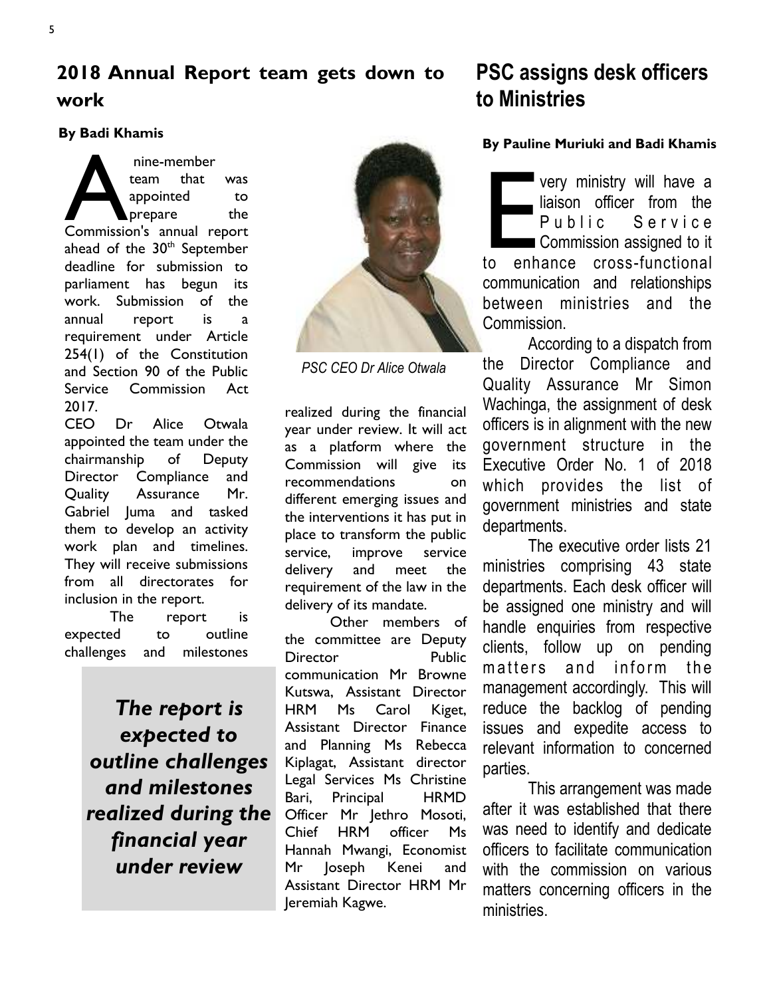# **By Badi Khamis**

mine-member<br>
team that was<br>
appointed to<br>
prepare the<br>
Commission's annual report team that was appointed to prepare the ahead of the 30<sup>th</sup> September deadline for submission to parliament has begun its work. Submission of the annual report is a requirement under Article 254(1) of the Constitution and Section 90 of the Public Service Commission Act 2017.

CEO Dr Alice Otwala appointed the team under the chairmanship of Deputy Director Compliance and Quality Assurance Mr. Gabriel Juma and tasked them to develop an activity work plan and timelines. They will receive submissions from all directorates for inclusion in the report.

 The report is expected to outline challenges and milestones

> *The report is expected to outline challenges and milestones realized during the financial year under review*



*PSC CEO Dr Alice Otwala* 

realized during the financial year under review. It will act as a platform where the Commission will give its recommendations on different emerging issues and the interventions it has put in place to transform the public service, improve service delivery and meet the requirement of the law in the delivery of its mandate.

 Other members of the committee are Deputy Director Public communication Mr Browne Kutswa, Assistant Director HRM Ms Carol Kiget, Assistant Director Finance and Planning Ms Rebecca Kiplagat, Assistant director Legal Services Ms Christine Bari, Principal HRMD Officer Mr Jethro Mosoti, Chief HRM officer Ms Hannah Mwangi, Economist Mr Joseph Kenei and Assistant Director HRM Mr Jeremiah Kagwe.

# **PSC assigns desk officers to Ministries**

## **By Pauline Muriuki and Badi Khamis**

very ministry will have a<br>liaison officer from the<br>Public Service<br>Commission assigned to it<br>to enhance cross-functional very ministry will have a liaison officer from the Public Service Commission assigned to it communication and relationships between ministries and the Commission.

 According to a dispatch from the Director Compliance and Quality Assurance Mr Simon Wachinga, the assignment of desk officers is in alignment with the new government structure in the Executive Order No. 1 of 2018 which provides the list of government ministries and state departments.

The executive order lists 21 ministries comprising 43 state departments. Each desk officer will be assigned one ministry and will handle enquiries from respective clients, follow up on pending matters and inform the management accordingly. This will reduce the backlog of pending issues and expedite access to relevant information to concerned parties.

 This arrangement was made after it was established that there was need to identify and dedicate officers to facilitate communication with the commission on various matters concerning officers in the ministries.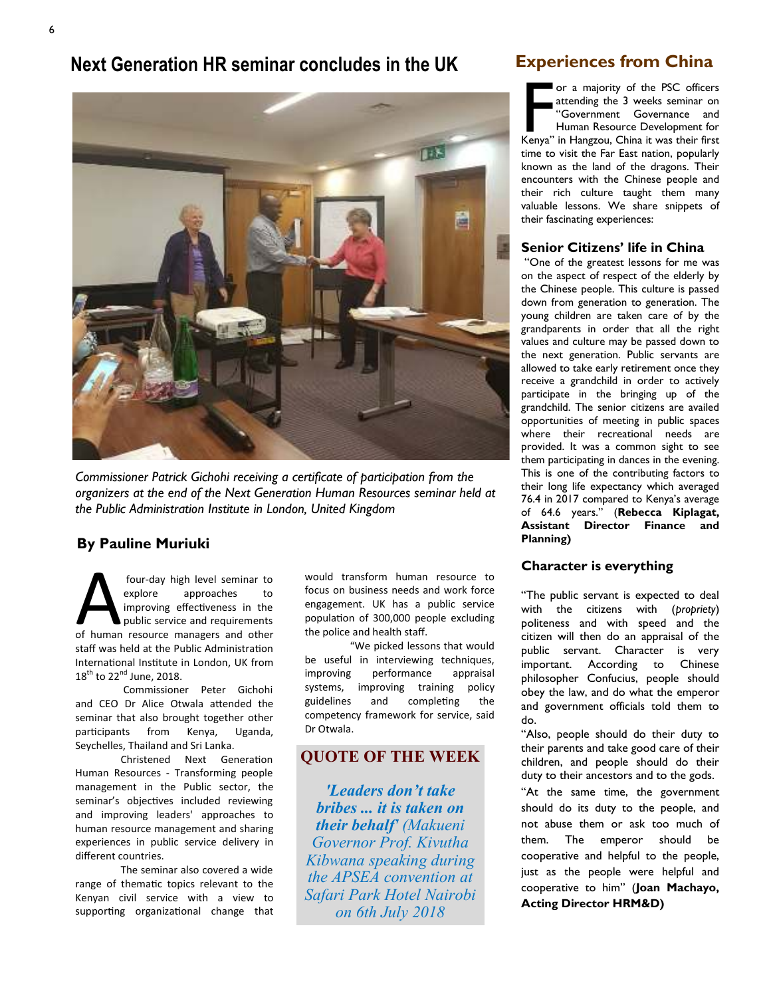# **Next Generation HR seminar concludes in the UK**



*Commissioner Patrick Gichohi receiving a certificate of participation from the organizers at the end of the Next Generation Human Resources seminar held at the Public Administration Institute in London, United Kingdom* 

# **By Pauline Muriuki**

four-day high level seminar to<br>
explore approaches to<br>
improving effectiveness in the<br>
public service and requirements<br>
of human resource managers and other four-day high level seminar to explore approaches to improving effectiveness in the public service and requirements staff was held at the Public Administration International Institute in London, UK from  $18^{th}$  to  $22^{nd}$  June, 2018.

Commissioner Peter Gichohi and CEO Dr Alice Otwala attended the seminar that also brought together other participants from Kenya, Uganda, Seychelles, Thailand and Sri Lanka.

Christened Next Generation Human Resources - Transforming people management in the Public sector, the seminar's objectives included reviewing and improving leaders' approaches to human resource management and sharing experiences in public service delivery in different countries.

The seminar also covered a wide range of thematic topics relevant to the Kenyan civil service with a view to supporting organizational change that would transform human resource to focus on business needs and work force engagement. UK has a public service population of 300,000 people excluding the police and health staff.

'We picked lessons that would be useful in interviewing techniques, improving performance appraisal systems, improving training policy guidelines and completing the competency framework for service, said Dr Otwala.

# **QUOTE OF THE WEEK**

*'Leaders don't take bribes ... it is taken on their behalf' (Makueni Governor Prof. Kivutha Kibwana speaking during the APSEA convention at Safari Park Hotel Nairobi on 6th July 2018*

# **Experiences from China**

or a majority of the PSC officers<br>
attending the 3 weeks seminar on<br>
"Government Governance and<br>
Human Resource Development for<br>
Kenya" in Hangzou, China it was their first attending the 3 weeks seminar on "Government Governance and Human Resource Development for time to visit the Far East nation, popularly known as the land of the dragons. Their encounters with the Chinese people and their rich culture taught them many valuable lessons. We share snippets of their fascinating experiences:

#### **Senior Citizens' life in China**

"One of the greatest lessons for me was on the aspect of respect of the elderly by the Chinese people. This culture is passed down from generation to generation. The young children are taken care of by the grandparents in order that all the right values and culture may be passed down to the next generation. Public servants are allowed to take early retirement once they receive a grandchild in order to actively participate in the bringing up of the grandchild. The senior citizens are availed opportunities of meeting in public spaces where their recreational needs are provided. It was a common sight to see them participating in dances in the evening. This is one of the contributing factors to their long life expectancy which averaged 76.4 in 2017 compared to Kenya's average of 64.6 years." (**Rebecca Kiplagat, Assistant Director Finance and Planning)** 

## **Character is everything**

"The public servant is expected to deal with the citizens with (*propriety*) politeness and with speed and the citizen will then do an appraisal of the public servant. Character is very important. According to Chinese philosopher Confucius, people should obey the law, and do what the [emperor](https://quatr.us/government/types-government-definitions.htm)  and government officials told them to do.

"Also, people should do their duty to their [parents](https://quatr.us/china/ancestors-parents-chinese-family.htm) and take good care of their children, and people should do their duty to their [ancestors](https://quatr.us/china/religion-ancient-china.htm) and to the [gods.](https://quatr.us/china/gods-ancient-china-chinese-religion.htm) 

"At the same time, the government should do its duty to the people, and not abuse them or ask too much of them. The emperor should be cooperative and helpful to the people, just as the people were helpful and cooperative to him" (**Joan Machayo, Acting Director HRM&D)**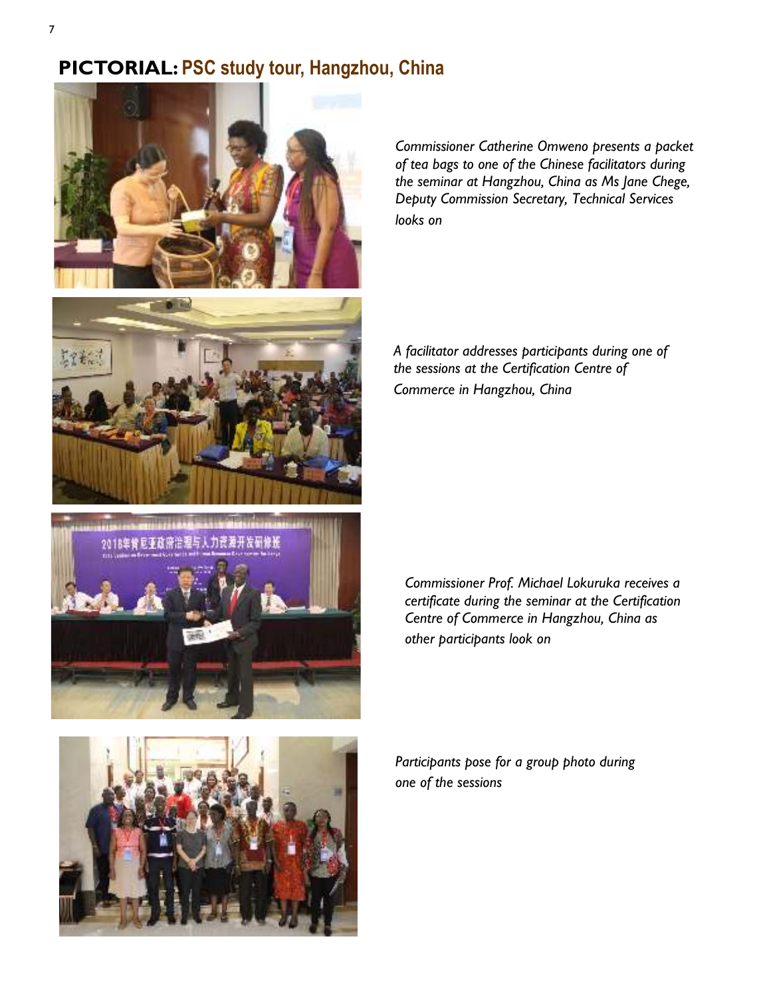# **PICTORIAL: PSC study tour, Hangzhou, China**



*Commissioner Catherine Omweno presents a packet of tea bags to one of the Chinese facilitators during the seminar at Hangzhou, China as Ms Jane Chege, Deputy Commission Secretary, Technical Services looks on* 



*A facilitator addresses participants during one of the sessions at the Certification Centre of* 

*Commerce in Hangzhou, China*





*Commissioner Prof. Michael Lokuruka receives a certificate during the seminar at the Certification Centre of Commerce in Hangzhou, China as other participants look on* 

*Participants pose for a group photo during one of the sessions*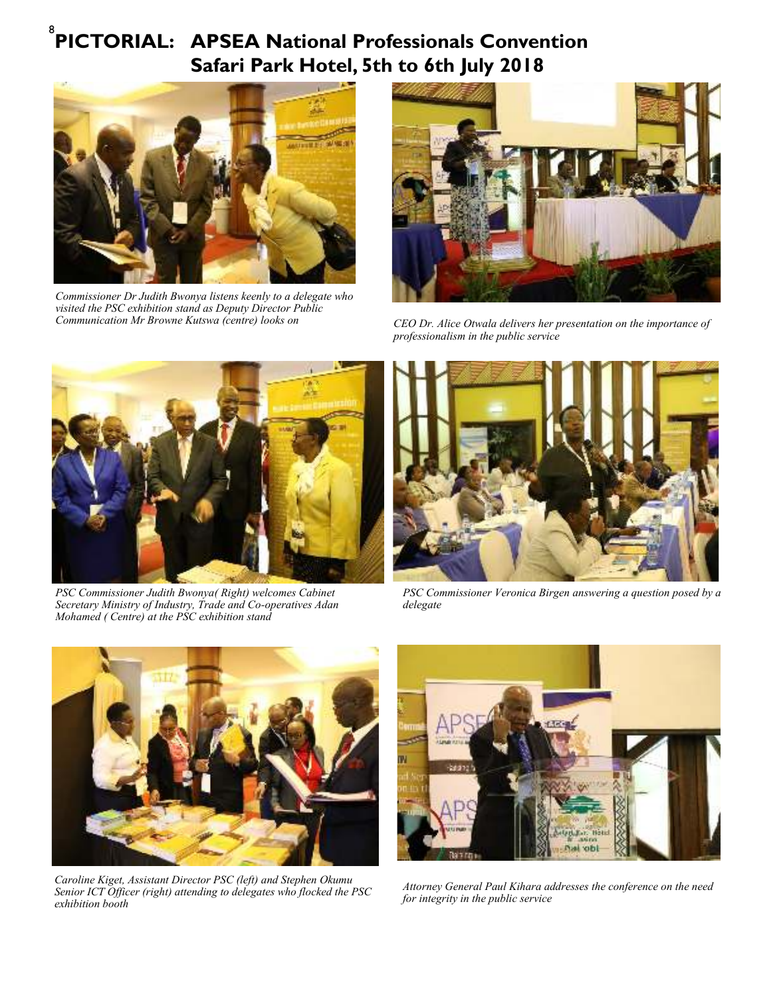# <sup>8</sup> PICTORIAL: APSEA National Professionals Convention  **Safari Park Hotel, 5th to 6th July 2018**



*Commissioner Dr Judith Bwonya listens keenly to a delegate who visited the PSC exhibition stand as Deputy Director Public Communication Mr Browne Kutswa (centre) looks on*



*CEO Dr. Alice Otwala delivers her presentation on the importance of professionalism in the public service*



*PSC Commissioner Judith Bwonya( Right) welcomes Cabinet Secretary Ministry of Industry, Trade and Co-operatives Adan Mohamed ( Centre) at the PSC exhibition stand* 



*PSC Commissioner Veronica Birgen answering a question posed by a delegate* 



*Caroline Kiget, Assistant Director PSC (left) and Stephen Okumu Senior ICT Officer (right) attending to delegates who flocked the PSC exhibition booth* 



*Attorney General Paul Kihara addresses the conference on the need for integrity in the public service*